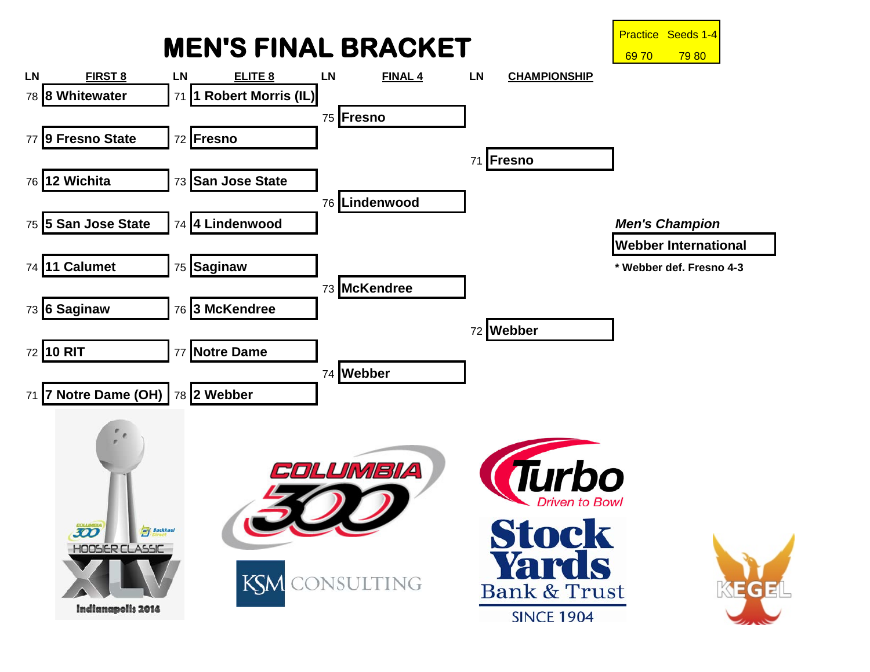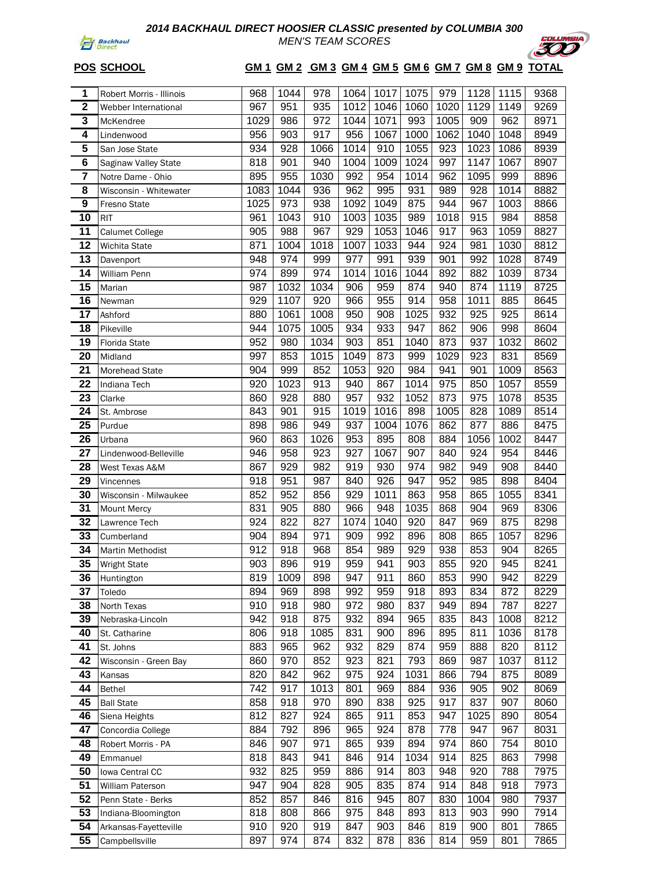

*MEN'S TEAM SCORES*



# **POS SCHOOL GM 1 GM 2 GM 3 GM 4 GM 5 GM 6 GM 7 GM 8 GM 9 TOTAL**

| 1                       | Robert Morris - Illinois                  | 968  | 1044 | 978  | 1064 | 1017 | 1075 | 979  | 1128 | 1115 | 9368 |
|-------------------------|-------------------------------------------|------|------|------|------|------|------|------|------|------|------|
| $\overline{\mathbf{2}}$ | Webber International                      | 967  | 951  | 935  | 1012 | 1046 | 1060 | 1020 | 1129 | 1149 | 9269 |
| $\overline{\mathbf{3}}$ | McKendree                                 | 1029 | 986  | 972  | 1044 | 1071 | 993  | 1005 | 909  | 962  | 8971 |
| $\overline{4}$          | Lindenwood                                | 956  | 903  | 917  | 956  | 1067 | 1000 | 1062 | 1040 | 1048 | 8949 |
| 5                       | San Jose State                            | 934  | 928  | 1066 | 1014 | 910  | 1055 | 923  | 1023 | 1086 | 8939 |
| $\overline{\mathbf{6}}$ | Saginaw Valley State                      | 818  | 901  | 940  | 1004 | 1009 | 1024 | 997  | 1147 | 1067 | 8907 |
| $\overline{\mathbf{r}}$ | Notre Dame - Ohio                         | 895  | 955  | 1030 | 992  | 954  | 1014 | 962  | 1095 | 999  | 8896 |
| $\overline{\mathbf{8}}$ | Wisconsin - Whitewater                    | 1083 | 1044 | 936  | 962  | 995  | 931  | 989  | 928  | 1014 | 8882 |
| $\overline{9}$          | Fresno State                              | 1025 | 973  | 938  | 1092 | 1049 | 875  | 944  | 967  | 1003 | 8866 |
| 10                      | <b>RIT</b>                                | 961  | 1043 | 910  | 1003 | 1035 | 989  | 1018 | 915  | 984  | 8858 |
| $\overline{11}$         | <b>Calumet College</b>                    | 905  | 988  | 967  | 929  | 1053 | 1046 | 917  | 963  | 1059 | 8827 |
| 12                      | Wichita State                             | 871  | 1004 | 1018 | 1007 | 1033 | 944  | 924  | 981  | 1030 | 8812 |
| 13                      | Davenport                                 | 948  | 974  | 999  | 977  | 991  | 939  | 901  | 992  | 1028 | 8749 |
| $\overline{14}$         | William Penn                              | 974  | 899  | 974  | 1014 | 1016 | 1044 | 892  | 882  | 1039 | 8734 |
| 15                      | Marian                                    | 987  | 1032 | 1034 | 906  | 959  | 874  | 940  | 874  | 1119 | 8725 |
| $\overline{16}$         | Newman                                    | 929  | 1107 | 920  | 966  | 955  | 914  | 958  | 1011 | 885  | 8645 |
| 17                      | Ashford                                   | 880  | 1061 | 1008 | 950  | 908  | 1025 | 932  | 925  | 925  | 8614 |
| $\overline{18}$         | Pikeville                                 | 944  | 1075 | 1005 | 934  | 933  | 947  | 862  | 906  | 998  | 8604 |
| 19                      | <b>Florida State</b>                      | 952  | 980  | 1034 | 903  | 851  | 1040 | 873  | 937  | 1032 | 8602 |
| 20                      | Midland                                   | 997  | 853  | 1015 | 1049 | 873  | 999  | 1029 | 923  | 831  | 8569 |
| 21                      | Morehead State                            | 904  | 999  | 852  | 1053 | 920  | 984  | 941  | 901  | 1009 | 8563 |
| 22                      | Indiana Tech                              | 920  | 1023 | 913  | 940  | 867  | 1014 | 975  | 850  | 1057 | 8559 |
| 23                      | Clarke                                    | 860  | 928  | 880  | 957  | 932  | 1052 | 873  | 975  | 1078 | 8535 |
| $\overline{24}$         | St. Ambrose                               | 843  | 901  | 915  | 1019 | 1016 | 898  | 1005 | 828  | 1089 | 8514 |
| 25                      | Purdue                                    | 898  | 986  | 949  | 937  | 1004 | 1076 | 862  | 877  | 886  | 8475 |
| 26                      | Urbana                                    | 960  | 863  | 1026 | 953  | 895  | 808  | 884  | 1056 | 1002 | 8447 |
| 27                      | Lindenwood-Belleville                     | 946  | 958  | 923  | 927  | 1067 | 907  | 840  | 924  | 954  | 8446 |
| 28                      | West Texas A&M                            | 867  | 929  | 982  | 919  | 930  | 974  | 982  | 949  | 908  | 8440 |
| 29                      | Vincennes                                 | 918  | 951  | 987  | 840  | 926  | 947  | 952  | 985  | 898  | 8404 |
| 30                      | Wisconsin - Milwaukee                     | 852  | 952  | 856  | 929  | 1011 | 863  | 958  | 865  | 1055 | 8341 |
| 31                      | Mount Mercy                               | 831  | 905  | 880  | 966  | 948  | 1035 | 868  | 904  | 969  | 8306 |
| 32                      | Lawrence Tech                             | 924  | 822  | 827  | 1074 | 1040 | 920  | 847  | 969  | 875  | 8298 |
| 33                      | Cumberland                                | 904  | 894  | 971  | 909  | 992  | 896  | 808  | 865  | 1057 | 8296 |
| $\overline{34}$         | Martin Methodist                          | 912  | 918  | 968  | 854  | 989  | 929  | 938  | 853  | 904  | 8265 |
| 35                      | <b>Wright State</b>                       | 903  | 896  | 919  | 959  | 941  | 903  | 855  | 920  | 945  | 8241 |
| 36                      | Huntington                                | 819  | 1009 | 898  | 947  | 911  | 860  | 853  | 990  | 942  | 8229 |
| 37                      | Toledo                                    | 894  | 969  | 898  | 992  | 959  | 918  | 893  | 834  | 872  | 8229 |
| 38                      | North Texas                               | 910  | 918  | 980  | 972  | 980  | 837  | 949  | 894  | 787  | 8227 |
| 39                      | Nebraska-Lincoln                          | 942  | 918  | 875  | 932  | 894  | 965  | 835  | 843  | 1008 | 8212 |
| 40                      | St. Catharine                             | 806  | 918  | 1085 | 831  | 900  | 896  | 895  | 811  | 1036 | 8178 |
| 41                      | St. Johns                                 | 883  | 965  | 962  | 932  | 829  | 874  | 959  | 888  | 820  | 8112 |
| 42                      | Wisconsin - Green Bay                     | 860  | 970  | 852  | 923  | 821  | 793  | 869  | 987  | 1037 | 8112 |
| 43                      | Kansas                                    | 820  | 842  | 962  | 975  | 924  | 1031 | 866  | 794  | 875  | 8089 |
| 44                      | Bethel                                    | 742  | 917  | 1013 | 801  | 969  | 884  | 936  | 905  | 902  | 8069 |
| 45                      | <b>Ball State</b>                         | 858  | 918  | 970  | 890  | 838  | 925  | 917  | 837  | 907  | 8060 |
| 46                      | Siena Heights                             | 812  | 827  | 924  | 865  | 911  | 853  | 947  | 1025 | 890  | 8054 |
| 47                      | Concordia College                         | 884  | 792  | 896  | 965  | 924  | 878  | 778  | 947  | 967  | 8031 |
| 48                      | Robert Morris - PA                        | 846  | 907  | 971  | 865  | 939  | 894  | 974  | 860  | 754  | 8010 |
| 49                      | Emmanuel                                  | 818  | 843  | 941  | 846  | 914  | 1034 | 914  | 825  | 863  | 7998 |
| 50                      | Iowa Central CC                           | 932  | 825  | 959  | 886  | 914  | 803  | 948  | 920  | 788  | 7975 |
| 51                      | William Paterson                          | 947  | 904  | 828  | 905  | 835  | 874  | 914  | 848  | 918  | 7973 |
| 52                      |                                           | 852  | 857  | 846  | 816  | 945  | 807  | 830  | 1004 | 980  | 7937 |
| 53                      | Penn State - Berks<br>Indiana-Bloomington | 818  | 808  | 866  | 975  | 848  | 893  | 813  | 903  | 990  | 7914 |
| $\overline{54}$         |                                           | 910  | 920  | 919  | 847  | 903  | 846  | 819  | 900  | 801  | 7865 |
| 55                      | Arkansas-Fayetteville<br>Campbellsville   | 897  | 974  | 874  | 832  | 878  | 836  | 814  | 959  | 801  | 7865 |
|                         |                                           |      |      |      |      |      |      |      |      |      |      |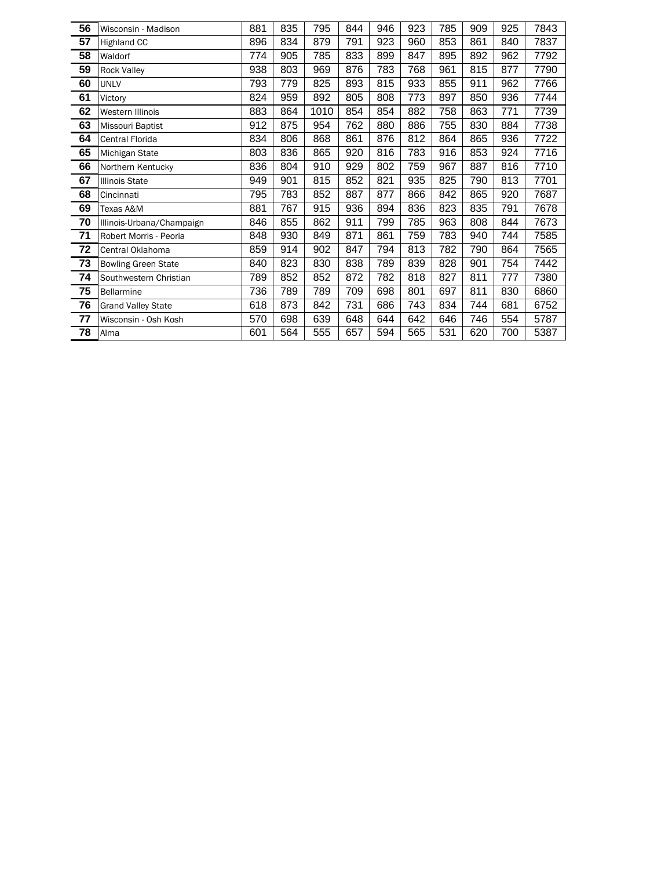| 56 | Wisconsin - Madison        | 881 | 835 | 795  | 844 | 946 | 923 | 785 | 909 | 925 | 7843 |
|----|----------------------------|-----|-----|------|-----|-----|-----|-----|-----|-----|------|
| 57 | <b>Highland CC</b>         | 896 | 834 | 879  | 791 | 923 | 960 | 853 | 861 | 840 | 7837 |
| 58 | Waldorf                    | 774 | 905 | 785  | 833 | 899 | 847 | 895 | 892 | 962 | 7792 |
| 59 | <b>Rock Valley</b>         | 938 | 803 | 969  | 876 | 783 | 768 | 961 | 815 | 877 | 7790 |
| 60 | <b>UNLV</b>                | 793 | 779 | 825  | 893 | 815 | 933 | 855 | 911 | 962 | 7766 |
| 61 | Victory                    | 824 | 959 | 892  | 805 | 808 | 773 | 897 | 850 | 936 | 7744 |
| 62 | <b>Western Illinois</b>    | 883 | 864 | 1010 | 854 | 854 | 882 | 758 | 863 | 771 | 7739 |
| 63 | Missouri Baptist           | 912 | 875 | 954  | 762 | 880 | 886 | 755 | 830 | 884 | 7738 |
| 64 | Central Florida            | 834 | 806 | 868  | 861 | 876 | 812 | 864 | 865 | 936 | 7722 |
| 65 | Michigan State             | 803 | 836 | 865  | 920 | 816 | 783 | 916 | 853 | 924 | 7716 |
| 66 | Northern Kentucky          | 836 | 804 | 910  | 929 | 802 | 759 | 967 | 887 | 816 | 7710 |
| 67 | <b>Illinois State</b>      | 949 | 901 | 815  | 852 | 821 | 935 | 825 | 790 | 813 | 7701 |
| 68 | Cincinnati                 | 795 | 783 | 852  | 887 | 877 | 866 | 842 | 865 | 920 | 7687 |
| 69 | Texas A&M                  | 881 | 767 | 915  | 936 | 894 | 836 | 823 | 835 | 791 | 7678 |
| 70 | Illinois-Urbana/Champaign  | 846 | 855 | 862  | 911 | 799 | 785 | 963 | 808 | 844 | 7673 |
| 71 | Robert Morris - Peoria     | 848 | 930 | 849  | 871 | 861 | 759 | 783 | 940 | 744 | 7585 |
| 72 | Central Oklahoma           | 859 | 914 | 902  | 847 | 794 | 813 | 782 | 790 | 864 | 7565 |
| 73 | <b>Bowling Green State</b> | 840 | 823 | 830  | 838 | 789 | 839 | 828 | 901 | 754 | 7442 |
| 74 | Southwestern Christian     | 789 | 852 | 852  | 872 | 782 | 818 | 827 | 811 | 777 | 7380 |
| 75 | Bellarmine                 | 736 | 789 | 789  | 709 | 698 | 801 | 697 | 811 | 830 | 6860 |
| 76 | <b>Grand Valley State</b>  | 618 | 873 | 842  | 731 | 686 | 743 | 834 | 744 | 681 | 6752 |
| 77 | Wisconsin - Osh Kosh       | 570 | 698 | 639  | 648 | 644 | 642 | 646 | 746 | 554 | 5787 |
| 78 | Alma                       | 601 | 564 | 555  | 657 | 594 | 565 | 531 | 620 | 700 | 5387 |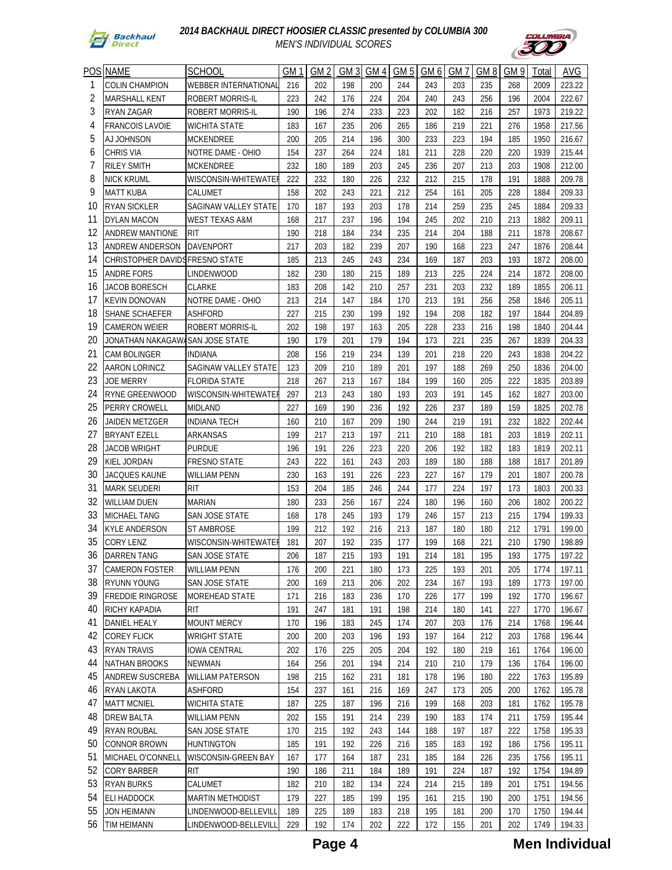



| <b>POS</b> | <b>NAME</b>             | <b>SCHOOL</b>               | GМ  | GM <sub>2</sub> | GM <sub>3</sub> | GM <sub>4</sub> | GM <sub>5</sub> | GM <sub>6</sub> | GM7 | GM <sub>8</sub> | GM 9 | Total | AVG    |
|------------|-------------------------|-----------------------------|-----|-----------------|-----------------|-----------------|-----------------|-----------------|-----|-----------------|------|-------|--------|
| 1          | COLIN CHAMPION          | WEBBER INTERNATIONAL        | 216 | 202             | 198             | 200             | 244             | 243             | 203 | 235             | 268  | 2009  | 223.22 |
| 2          | <b>MARSHALL KENT</b>    | ROBERT MORRIS-IL            | 223 | 242             | 176             | 224             | 204             | 240             | 243 | 256             | 196  | 2004  | 222.67 |
| 3          | <b>RYAN ZAGAR</b>       | ROBERT MORRIS-IL            | 190 | 196             | 274             | 233             | 223             | 202             | 182 | 216             | 257  | 1973  | 219.22 |
| 4          | <b>FRANCOIS LAVOIE</b>  | <b>WICHITA STATE</b>        | 183 | 167             | 235             | 206             | 265             | 186             | 219 | 221             | 276  | 1958  | 217.56 |
| 5          | <b>AJ JOHNSON</b>       | MCKENDREE                   | 200 | 205             | 214             | 196             | 300             | 233             | 223 | 194             | 185  | 1950  | 216.67 |
| 6          | <b>CHRIS VIA</b>        | NOTRE DAME - OHIO           | 154 | 237             | 264             | 224             | 181             | 211             | 228 | 220             | 220  | 1939  | 215.44 |
| 7          | <b>RILEY SMITH</b>      | MCKENDREE                   | 232 | 180             | 189             | 203             | 245             | 236             | 207 | 213             | 203  | 1908  | 212.00 |
| 8          | NICK KRUML              | WISCONSIN-WHITEWATE         | 222 | 232             | 180             | 226             | 232             | 212             | 215 | 178             | 191  | 1888  | 209.78 |
| 9          | <b>MATT KUBA</b>        | CALUMET                     | 158 | 202             | 243             | 221             | 212             | 254             | 161 | 205             | 228  | 1884  | 209.33 |
| 10         | <b>RYAN SICKLER</b>     | SAGINAW VALLEY STATE        | 170 | 187             | 193             | 203             | 178             | 214             | 259 | 235             | 245  | 1884  | 209.33 |
| 11         | DYLAN MACON             | <b>WEST TEXAS A&amp;M</b>   | 168 | 217             | 237             | 196             | 194             | 245             | 202 | 210             | 213  | 1882  | 209.11 |
| 12         | <b>ANDREW MANTIONE</b>  | <b>RIT</b>                  | 190 | 218             | 184             | 234             | 235             | 214             | 204 | 188             | 211  | 1878  | 208.67 |
| 13         | ANDREW ANDERSON         | <b>DAVENPORT</b>            | 217 | 203             | 182             | 239             | 207             | 190             | 168 | 223             | 247  | 1876  | 208.44 |
| 14         | CHRISTOPHER DAVIDS      | <b>FRESNO STATE</b>         | 185 | 213             | 245             | 243             | 234             | 169             | 187 | 203             | 193  | 1872  | 208.00 |
| 15         | <b>ANDRE FORS</b>       | <b>LINDENWOOD</b>           | 182 | 230             | 180             | 215             | 189             | 213             | 225 | 224             | 214  | 1872  | 208.00 |
| 16         | JACOB BORESCH           | <b>CLARKE</b>               | 183 | 208             | 142             | 210             | 257             | 231             | 203 | 232             | 189  | 1855  | 206.11 |
| 17         | <b>KEVIN DONOVAN</b>    | NOTRE DAME - OHIO           | 213 | 214             | 147             | 184             | 170             | 213             | 191 | 256             | 258  | 1846  | 205.11 |
| 18         | <b>SHANE SCHAEFER</b>   | <b>ASHFORD</b>              | 227 | 215             | 230             | 199             | 192             | 194             | 208 | 182             | 197  | 1844  | 204.89 |
| 19         | <b>CAMERON WEIER</b>    | ROBERT MORRIS-IL            | 202 | 198             | 197             | 163             | 205             | 228             | 233 | 216             | 198  | 1840  | 204.44 |
| 20         | JONATHAN NAKAGAW        | <b>SAN JOSE STATE</b>       | 190 | 179             | 201             | 179             | 194             | 173             | 221 | 235             | 267  | 1839  | 204.33 |
| 21         | <b>CAM BOLINGER</b>     | <b>INDIANA</b>              | 208 | 156             | 219             | 234             | 139             | 201             | 218 | 220             | 243  | 1838  | 204.22 |
| 22         | AARON LORINCZ           | <b>SAGINAW VALLEY STATE</b> | 123 | 209             | 210             | 189             | 201             | 197             | 188 | 269             | 250  | 1836  | 204.00 |
| 23         | <b>JOE MERRY</b>        | <b>FLORIDA STATE</b>        | 218 | 267             | 213             | 167             | 184             | 199             | 160 | 205             | 222  | 1835  | 203.89 |
| 24         | RYNE GREENWOOD          | WISCONSIN-WHITEWATE         | 297 | 213             | 243             | 180             | 193             | 203             | 191 | 145             | 162  | 1827  | 203.00 |
| 25         | PERRY CROWELL           | <b>MIDLAND</b>              | 227 | 169             | 190             | 236             | 192             | 226             | 237 | 189             | 159  | 1825  | 202.78 |
| 26         | JAIDEN METZGER          | <b>INDIANA TECH</b>         | 160 | 210             | 167             | 209             | 190             | 244             | 219 | 191             | 232  | 1822  | 202.44 |
| 27         | <b>BRYANT EZELL</b>     | ARKANSAS                    | 199 | 217             | 213             | 197             | 211             | 210             | 188 | 181             | 203  | 1819  | 202.11 |
| 28         | <b>JACOB WRIGHT</b>     | <b>PURDUE</b>               | 196 | 191             | 226             | 223             | 220             | 206             | 192 | 182             | 183  | 1819  | 202.11 |
| 29         | KIEL JORDAN             | <b>FRESNO STATE</b>         | 243 | 222             | 161             | 243             | 203             | 189             | 180 | 188             | 188  | 1817  | 201.89 |
| 30         | <b>JACQUES KAUNE</b>    | <b>WILLIAM PENN</b>         | 230 | 163             | 191             | 226             | 223             | 227             | 167 | 179             | 201  | 1807  | 200.78 |
| 31         | <b>MARK SEUDERI</b>     | <b>RIT</b>                  | 153 | 204             | 185             | 246             | 244             | 177             | 224 | 197             | 173  | 1803  | 200.33 |
| 32         | <b>WILLIAM DUEN</b>     | <b>MARIAN</b>               | 180 | 233             | 256             | 167             | 224             | 180             | 196 | 160             | 206  | 1802  | 200.22 |
| 33         | <b>MICHAEL TANG</b>     | SAN JOSE STATE              | 168 | 178             | 245             | 193             | 179             | 246             | 157 | 213             | 215  | 1794  | 199.33 |
| 34         | <b>KYLE ANDERSON</b>    | <b>ST AMBROSE</b>           | 199 | 212             | 192             | 216             | 213             | 187             | 180 | 180             | 212  | 1791  | 199.00 |
| 35         | <b>CORY LENZ</b>        | WISCONSIN-WHITEWATEI        | 181 | 207             | 192             | 235             | 177             | 199             | 168 | 221             | 210  | 1790  | 198.89 |
| 36         | <b>DARREN TANG</b>      | SAN JOSE STATE              | 206 | 187             | 215             | 193             | 191             | 214             | 181 | 195             | 193  | 1775  | 197.22 |
| 37         | <b>CAMERON FOSTER</b>   | WILLIAM PENN                | 176 | 200             | 221             | 180             | 173             | 225             | 193 | 201             | 205  | 1774  | 197.11 |
| 38         | RYUNN YOUNG             | SAN JOSE STATE              | 200 | 169             | 213             | 206             | 202             | 234             | 167 | 193             | 189  | 1773  | 197.00 |
| 39         | <b>FREDDIE RINGROSE</b> | <b>MOREHEAD STATE</b>       | 171 | 216             | 183             | 236             | 170             | 226             | 177 | 199             | 192  | 1770  | 196.67 |
| 40         | RICHY KAPADIA           | RIT                         | 191 | 247             | 181             | 191             | 198             | 214             | 180 | 141             | 227  | 1770  | 196.67 |
| 41         | DANIEL HEALY            | <b>MOUNT MERCY</b>          | 170 | 196             | 183             | 245             | 174             | 207             | 203 | 176             | 214  | 1768  | 196.44 |
| 42         | <b>COREY FLICK</b>      | <b>WRIGHT STATE</b>         | 200 | 200             | 203             | 196             | 193             | 197             | 164 | 212             | 203  | 1768  | 196.44 |
| 43         | <b>RYAN TRAVIS</b>      | <b>IOWA CENTRAL</b>         | 202 | 176             | 225             | 205             | 204             | 192             | 180 | 219             | 161  | 1764  | 196.00 |
| 44         | <b>NATHAN BROOKS</b>    | <b>NEWMAN</b>               | 164 | 256             | 201             | 194             | 214             | 210             | 210 | 179             | 136  | 1764  | 196.00 |
| 45         | <b>ANDREW SUSCREBA</b>  | <b>WILLIAM PATERSON</b>     | 198 | 215             | 162             | 231             | 181             | 178             | 196 | 180             | 222  | 1763  | 195.89 |
| 46         | <b>RYAN LAKOTA</b>      | <b>ASHFORD</b>              | 154 | 237             | 161             | 216             | 169             | 247             | 173 | 205             | 200  | 1762  | 195.78 |
| 47         | <b>MATT MCNIEL</b>      | <b>WICHITA STATE</b>        | 187 | 225             | 187             | 196             | 216             | 199             | 168 | 203             | 181  | 1762  | 195.78 |
| 48         | <b>DREW BALTA</b>       | <b>WILLIAM PENN</b>         | 202 | 155             | 191             | 214             | 239             | 190             | 183 | 174             | 211  | 1759  | 195.44 |
| 49         | <b>RYAN ROUBAL</b>      | SAN JOSE STATE              | 170 | 215             | 192             | 243             | 144             | 188             | 197 | 187             | 222  | 1758  | 195.33 |
| 50         | <b>CONNOR BROWN</b>     | <b>HUNTINGTON</b>           | 185 | 191             | 192             | 226             | 216             | 185             | 183 | 192             | 186  | 1756  | 195.11 |
| 51         | MICHAEL O'CONNELL       | WISCONSIN-GREEN BAY         | 167 | 177             | 164             | 187             | 231             | 185             | 184 | 226             | 235  | 1756  | 195.11 |
| 52         | CORY BARBER             | <b>RIT</b>                  | 190 | 186             | 211             | 184             | 189             | 191             | 224 | 187             | 192  | 1754  | 194.89 |
| 53         | <b>RYAN BURKS</b>       | CALUMET                     | 182 | 210             | 182             | 134             | 224             | 214             | 215 | 189             | 201  | 1751  | 194.56 |
| 54         | <b>ELI HADDOCK</b>      | <b>MARTIN METHODIST</b>     | 179 | 227             | 185             | 199             | 195             | 161             | 215 | 190             | 200  | 1751  | 194.56 |
| 55         | <b>JON HEIMANN</b>      | LINDENWOOD-BELLEVILL        | 189 | 225             | 189             | 183             | 218             | 195             | 181 | 200             | 170  | 1750  | 194.44 |
| 56         | TIM HEIMANN             | LINDENWOOD-BELLEVILI        | 229 | 192             | 174             | 202             | 222             | 172             | 155 | 201             | 202  | 1749  | 194.33 |

**Page 4 Men Individual**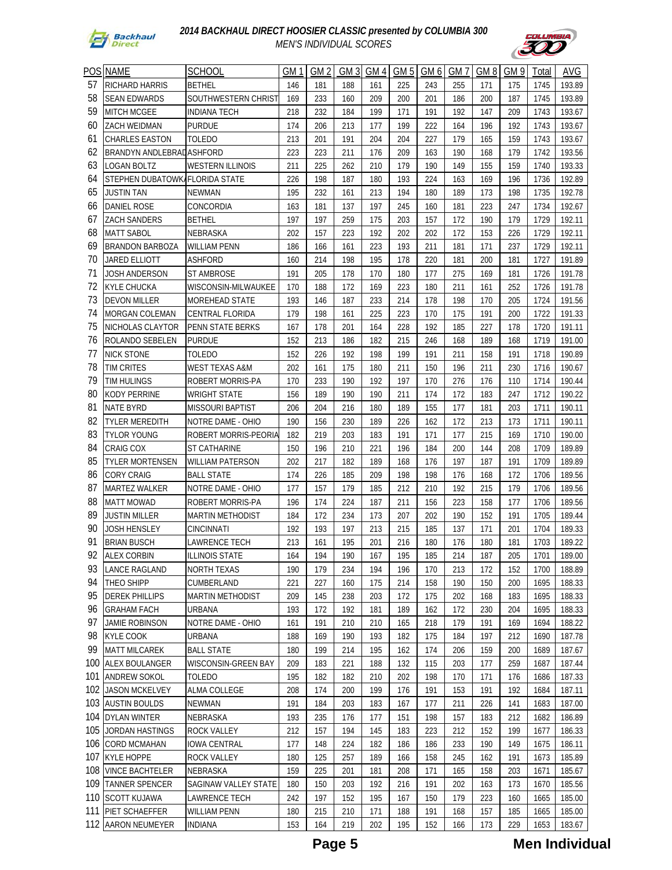



| POS | <b>NAME</b>              | <b>SCHOOL</b>           | GM1 | GM <sub>2</sub> | GM <sub>3</sub> | GM <sub>4</sub> | GM <sub>5</sub> | GM <sub>6</sub> | GM7 | GM <sub>8</sub> | GM <sub>9</sub> | Total | AVG    |
|-----|--------------------------|-------------------------|-----|-----------------|-----------------|-----------------|-----------------|-----------------|-----|-----------------|-----------------|-------|--------|
| 57  | RICHARD HARRIS           | <b>BETHEL</b>           | 146 | 181             | 188             | 161             | 225             | 243             | 255 | 171             | 175             | 1745  | 193.89 |
| 58  | <b>SEAN EDWARDS</b>      | SOUTHWESTERN CHRIST     | 169 | 233             | 160             | 209             | 200             | 201             | 186 | 200             | 187             | 1745  | 193.89 |
| 59  | <b>MITCH MCGEE</b>       | <b>INDIANA TECH</b>     | 218 | 232             | 184             | 199             | 171             | 191             | 192 | 147             | 209             | 1743  | 193.67 |
| 60  | ZACH WEIDMAN             | <b>PURDUE</b>           | 174 | 206             | 213             | 177             | 199             | 222             | 164 | 196             | 192             | 1743  | 193.67 |
| 61  | <b>CHARLES EASTON</b>    | TOLEDO                  | 213 | 201             | 191             | 204             | 204             | 227             | 179 | 165             | 159             | 1743  | 193.67 |
| 62  | BRANDYN ANDLEBRADASHFORD |                         | 223 | 223             | 211             | 176             | 209             | 163             | 190 | 168             | 179             | 1742  | 193.56 |
| 63  | LOGAN BOLTZ              | WESTERN ILLINOIS        | 211 | 225             | 262             | 210             | 179             | 190             | 149 | 155             | 159             | 1740  | 193.33 |
| 64  | STEPHEN DUBATOWK         | <b>FLORIDA STATE</b>    | 226 | 198             | 187             | 180             | 193             | 224             | 163 | 169             | 196             | 1736  | 192.89 |
| 65  | JUSTIN TAN               | <b>NEWMAN</b>           | 195 | 232             | 161             | 213             | 194             | 180             | 189 | 173             | 198             | 1735  | 192.78 |
| 66  | <b>DANIEL ROSE</b>       | CONCORDIA               | 163 | 181             | 137             | 197             | 245             | 160             | 181 | 223             | 247             | 1734  | 192.67 |
| 67  | <b>ZACH SANDERS</b>      | BETHEL                  | 197 | 197             | 259             | 175             | 203             | 157             | 172 | 190             | 179             | 1729  | 192.11 |
| 68  | <b>MATT SABOL</b>        | NEBRASKA                | 202 | 157             | 223             | 192             | 202             | 202             | 172 | 153             | 226             | 1729  | 192.11 |
| 69  | BRANDON BARBOZA          | WILLIAM PENN            | 186 | 166             | 161             | 223             | 193             | 211             | 181 | 171             | 237             | 1729  | 192.11 |
| 70  | JARED ELLIOTT            | ASHFORD                 | 160 | 214             | 198             | 195             | 178             | 220             | 181 | 200             | 181             | 1727  | 191.89 |
| 71  | JOSH ANDERSON            | <b>ST AMBROSE</b>       | 191 | 205             | 178             | 170             | 180             | 177             | 275 | 169             | 181             | 1726  | 191.78 |
| 72  | KYLE CHUCKA              | WISCONSIN-MILWAUKEE     | 170 | 188             | 172             | 169             | 223             | 180             | 211 | 161             | 252             | 1726  | 191.78 |
| 73  | <b>DEVON MILLER</b>      | <b>MOREHEAD STATE</b>   | 193 | 146             | 187             | 233             | 214             | 178             | 198 | 170             | 205             | 1724  | 191.56 |
| 74  | MORGAN COLEMAN           | <b>CENTRAL FLORIDA</b>  | 179 | 198             | 161             | 225             | 223             | 170             | 175 | 191             | 200             | 1722  | 191.33 |
| 75  | NICHOLAS CLAYTOR         | PENN STATE BERKS        | 167 | 178             | 201             | 164             | 228             | 192             | 185 | 227             | 178             | 1720  | 191.11 |
| 76  | ROLANDO SEBELEN          | <b>PURDUE</b>           | 152 | 213             | 186             | 182             | 215             | 246             | 168 | 189             | 168             | 1719  | 191.00 |
| 77  | <b>NICK STONE</b>        | <b>TOLEDO</b>           | 152 | 226             | 192             | 198             | 199             | 191             | 211 | 158             | 191             | 1718  | 190.89 |
| 78  | TIM CRITES               | WEST TEXAS A&M          | 202 | 161             | 175             | 180             | 211             | 150             | 196 | 211             | 230             | 1716  | 190.67 |
| 79  | TIM HULINGS              | ROBERT MORRIS-PA        | 170 | 233             | 190             | 192             | 197             | 170             | 276 | 176             | 110             | 1714  | 190.44 |
| 80  | <b>KODY PERRINE</b>      | <b>WRIGHT STATE</b>     | 156 | 189             | 190             | 190             | 211             | 174             | 172 | 183             | 247             | 1712  | 190.22 |
| 81  | <b>NATE BYRD</b>         | <b>MISSOURI BAPTIST</b> | 206 | 204             | 216             | 180             | 189             | 155             | 177 | 181             | 203             | 1711  | 190.11 |
| 82  | TYLER MEREDITH           | NOTRE DAME - OHIO       | 190 | 156             | 230             | 189             | 226             | 162             | 172 | 213             | 173             | 1711  | 190.11 |
| 83  | <b>TYLOR YOUNG</b>       | ROBERT MORRIS-PEORIA    | 182 | 219             | 203             | 183             | 191             | 171             | 177 | 215             | 169             | 1710  | 190.00 |
| 84  | <b>CRAIG COX</b>         | <b>ST CATHARINE</b>     | 150 | 196             | 210             | 221             | 196             | 184             | 200 | 144             | 208             | 1709  | 189.89 |
| 85  | <b>TYLER MORTENSEN</b>   | <b>WILLIAM PATERSON</b> | 202 | 217             | 182             | 189             | 168             | 176             | 197 | 187             | 191             | 1709  | 189.89 |
| 86  | <b>CORY CRAIG</b>        | <b>BALL STATE</b>       | 174 | 226             | 185             | 209             | 198             | 198             | 176 | 168             | 172             | 1706  | 189.56 |
| 87  | <b>MARTEZ WALKER</b>     | NOTRE DAME - OHIO       | 177 | 157             | 179             | 185             | 212             | 210             | 192 | 215             | 179             | 1706  | 189.56 |
| 88  | <b>MATT MOWAD</b>        | ROBERT MORRIS-PA        | 196 | 174             | 224             | 187             | 211             | 156             | 223 | 158             | 177             | 1706  | 189.56 |
| 89  | <b>JUSTIN MILLER</b>     | <b>MARTIN METHODIST</b> | 184 | 172             | 234             | 173             | 207             | 202             | 190 | 152             | 191             | 1705  | 189.44 |
| 90  | JOSH HENSLEY             | <b>CINCINNATI</b>       | 192 | 193             | 197             | 213             | 215             | 185             | 137 | 171             | 201             | 1704  | 189.33 |
| 91  | <b>BRIAN BUSCH</b>       | LAWRENCE TECH           | 213 | 161             | 195             | 201             | 216             | 180             | 176 | 180             | 181             | 1703  | 189.22 |
| 92  | <b>ALEX CORBIN</b>       | <b>ILLINOIS STATE</b>   | 164 | 194             | 190             | 167             | 195             | 185             | 214 | 187             | 205             | 1701  | 189.00 |
| 93  | LANCE RAGLAND            | NORTH TEXAS             | 190 | 179             | 234             | 194             | 196             | 170             | 213 | 172             | 152             | 1700  | 188.89 |
| 94  | THEO SHIPP               | CUMBERLAND              | 221 | 227             | 160             | 175             | 214             | 158             | 190 | 150             | 200             | 1695  | 188.33 |
| 95  | <b>DEREK PHILLIPS</b>    | <b>MARTIN METHODIST</b> | 209 | 145             | 238             | 203             | 172             | 175             | 202 | 168             | 183             | 1695  | 188.33 |
| 96  | <b>GRAHAM FACH</b>       | URBANA                  | 193 | 172             | 192             | 181             | 189             | 162             | 172 | 230             | 204             | 1695  | 188.33 |
| 97  | <b>JAMIE ROBINSON</b>    | NOTRE DAME - OHIO       | 161 | 191             | 210             | 210             | 165             | 218             | 179 | 191             | 169             | 1694  | 188.22 |
| 98  | <b>KYLE COOK</b>         | <b>URBANA</b>           | 188 | 169             | 190             | 193             | 182             | 175             | 184 | 197             | 212             | 1690  | 187.78 |
| 99  | <b>MATT MILCAREK</b>     | <b>BALL STATE</b>       | 180 | 199             | 214             | 195             | 162             | 174             | 206 | 159             | 200             | 1689  | 187.67 |
| 100 | ALEX BOULANGER           | WISCONSIN-GREEN BAY     | 209 | 183             | 221             | 188             | 132             | 115             | 203 | 177             | 259             | 1687  | 187.44 |
| 101 | <b>ANDREW SOKOL</b>      | TOLEDO                  | 195 | 182             | 182             | 210             | 202             | 198             | 170 | 171             | 176             | 1686  | 187.33 |
| 102 | <b>JASON MCKELVEY</b>    | <b>ALMA COLLEGE</b>     | 208 | 174             | 200             | 199             | 176             | 191             | 153 | 191             | 192             | 1684  | 187.11 |
|     | 103 AUSTIN BOULDS        | NEWMAN                  | 191 | 184             | 203             | 183             | 167             | 177             | 211 | 226             | 141             | 1683  | 187.00 |
|     | 104 DYLAN WINTER         | NEBRASKA                | 193 | 235             | 176             | 177             | 151             | 198             | 157 | 183             | 212             | 1682  | 186.89 |
| 105 | JORDAN HASTINGS          | ROCK VALLEY             | 212 | 157             | 194             | 145             | 183             | 223             | 212 | 152             | 199             | 1677  | 186.33 |
|     | 106 CORD MCMAHAN         | IOWA CENTRAL            | 177 | 148             | 224             | 182             | 186             | 186             | 233 | 190             | 149             | 1675  | 186.11 |
|     | 107 KYLE HOPPE           | ROCK VALLEY             | 180 | 125             | 257             | 189             | 166             | 158             | 245 | 162             | 191             | 1673  | 185.89 |
|     | 108 VINCE BACHTELER      | NEBRASKA                | 159 | 225             | 201             | 181             | 208             | 171             | 165 | 158             | 203             | 1671  | 185.67 |
|     | 109 TANNER SPENCER       | SAGINAW VALLEY STATE    | 180 | 150             | 203             | 192             | 216             | 191             | 202 | 163             | 173             | 1670  | 185.56 |
|     | 110 SCOTT KUJAWA         | LAWRENCE TECH           | 242 | 197             | 152             | 195             | 167             | 150             | 179 | 223             | 160             | 1665  | 185.00 |
| 111 | <b>PIET SCHAEFFER</b>    | WILLIAM PENN            | 180 | 215             | 210             | 171             | 188             | 191             | 168 | 157             | 185             | 1665  | 185.00 |
|     | 112 AARON NEUMEYER       | <b>INDIANA</b>          | 153 | 164             | 219             | 202             | 195             | 152             | 166 | 173             | 229             | 1653  | 183.67 |

**Page 5 Men Individual**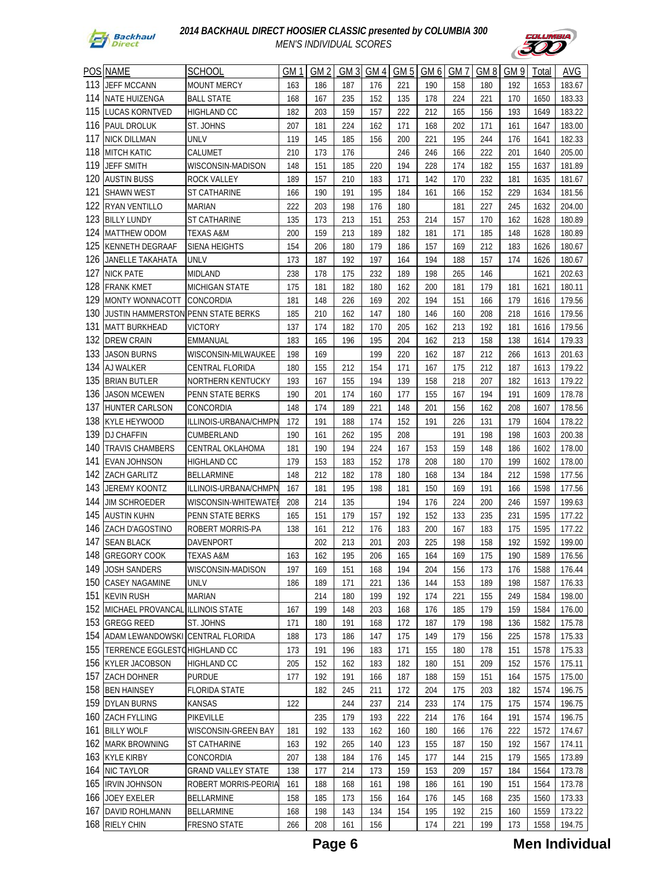



| POS        | <b>NAME</b>                        | <b>SCHOOL</b>             | GM 1       | GM <sub>2</sub> | GM <sub>3</sub> | GM 4       | GM <sub>5</sub> | GM 6       | GM 7       | GM <sub>8</sub> | GM 9       | Total | AVG    |
|------------|------------------------------------|---------------------------|------------|-----------------|-----------------|------------|-----------------|------------|------------|-----------------|------------|-------|--------|
| 113        | <b>JEFF MCCANN</b>                 | <b>MOUNT MERCY</b>        | 163        | 186             | 187             | 176        | 221             | 190        | 158        | 180             | 192        | 1653  | 183.67 |
| 114        | NATE HUIZENGA                      | <b>BALL STATE</b>         | 168        | 167             | 235             | 152        | 135             | 178        | 224        | 221             | 170        | 1650  | 183.33 |
| 115        | LUCAS KORNTVED                     | <b>HIGHLAND CC</b>        | 182        | 203             | 159             | 157        | 222             | 212        | 165        | 156             | 193        | 1649  | 183.22 |
| 116        | PAUL DROLUK                        | ST. JOHNS                 | 207        | 181             | 224             | 162        | 171             | 168        | 202        | 171             | 161        | 1647  | 183.00 |
| 117        | <b>NICK DILLMAN</b>                | UNLV                      | 119        | 145             | 185             | 156        | 200             | 221        | 195        | 244             | 176        | 1641  | 182.33 |
| 118        |                                    |                           |            | 173             |                 |            |                 |            | 166        |                 |            |       |        |
| 119        | <b>MITCH KATIC</b>                 | CALUMET                   | 210        |                 | 176             |            | 246<br>194      | 246<br>228 |            | 222<br>182      | 201        | 1640  | 205.00 |
| 120        | JEFF SMITH<br><b>AUSTIN BUSS</b>   | WISCONSIN-MADISON         | 148<br>189 | 151<br>157      | 185             | 220<br>183 | 171             | 142        | 174<br>170 | 232             | 155<br>181 | 1637  | 181.89 |
| 121        |                                    | ROCK VALLEY               |            |                 | 210             |            |                 |            |            |                 |            | 1635  | 181.67 |
| 122        | <b>SHAWN WEST</b>                  | ST CATHARINE              | 166        | 190             | 191             | 195        | 184             | 161        | 166        | 152             | 229        | 1634  | 181.56 |
| 123        | <b>RYAN VENTILLO</b>               | <b>MARIAN</b>             | 222        | 203             | 198             | 176        | 180             |            | 181        | 227             | 245        | 1632  | 204.00 |
|            | <b>BILLY LUNDY</b>                 | <b>ST CATHARINE</b>       | 135        | 173             | 213             | 151        | 253             | 214        | 157        | 170             | 162        | 1628  | 180.89 |
| 124<br>125 | <b>MATTHEW ODOM</b>                | <b>TEXAS A&amp;M</b>      | 200        | 159             | 213             | 189        | 182             | 181        | 171        | 185             | 148        | 1628  | 180.89 |
|            | KENNETH DEGRAAF                    | <b>SIENA HEIGHTS</b>      | 154        | 206             | 180             | 179        | 186             | 157        | 169        | 212             | 183        | 1626  | 180.67 |
| 126        | JANELLE TAKAHATA                   | UNLV                      | 173        | 187             | 192             | 197        | 164             | 194        | 188        | 157             | 174        | 1626  | 180.67 |
| 127        | <b>NICK PATE</b>                   | MIDLAND                   | 238        | 178             | 175             | 232        | 189             | 198        | 265        | 146             |            | 1621  | 202.63 |
| 128        | <b>FRANK KMET</b>                  | <b>MICHIGAN STATE</b>     | 175        | 181             | 182             | 180        | 162             | 200        | 181        | 179             | 181        | 1621  | 180.11 |
| 129        | MONTY WONNACOTT                    | CONCORDIA                 | 181        | 148             | 226             | 169        | 202             | 194        | 151        | 166             | 179        | 1616  | 179.56 |
| 130        | JUSTIN HAMMERSTON PENN STATE BERKS |                           | 185        | 210             | 162             | 147        | 180             | 146        | 160        | 208             | 218        | 1616  | 179.56 |
| 131        | <b>MATT BURKHEAD</b>               | VICTORY                   | 137        | 174             | 182             | 170        | 205             | 162        | 213        | 192             | 181        | 1616  | 179.56 |
| 132        | DREW CRAIN                         | <b>EMMANUAL</b>           | 183        | 165             | 196             | 195        | 204             | 162        | 213        | 158             | 138        | 1614  | 179.33 |
| 133        | <b>JASON BURNS</b>                 | WISCONSIN-MILWAUKEE       | 198        | 169             |                 | 199        | 220             | 162        | 187        | 212             | 266        | 1613  | 201.63 |
| 134        | AJ WALKER                          | <b>CENTRAL FLORIDA</b>    | 180        | 155             | 212             | 154        | 171             | 167        | 175        | 212             | 187        | 1613  | 179.22 |
| 135        | <b>BRIAN BUTLER</b>                | NORTHERN KENTUCKY         | 193        | 167             | 155             | 194        | 139             | 158        | 218        | 207             | 182        | 1613  | 179.22 |
| 136        | JASON MCEWEN                       | PENN STATE BERKS          | 190        | 201             | 174             | 160        | 177             | 155        | 167        | 194             | 191        | 1609  | 178.78 |
| 137        | HUNTER CARLSON                     | CONCORDIA                 | 148        | 174             | 189             | 221        | 148             | 201        | 156        | 162             | 208        | 1607  | 178.56 |
| 138        | KYLE HEYWOOD                       | ILLINOIS-URBANA/CHMPN     | 172        | 191             | 188             | 174        | 152             | 191        | 226        | 131             | 179        | 1604  | 178.22 |
| 139        | <b>DJ CHAFFIN</b>                  | CUMBERLAND                | 190        | 161             | 262             | 195        | 208             |            | 191        | 198             | 198        | 1603  | 200.38 |
| 140        | TRAVIS CHAMBERS                    | CENTRAL OKLAHOMA          | 181        | 190             | 194             | 224        | 167             | 153        | 159        | 148             | 186        | 1602  | 178.00 |
| 141        | <b>EVAN JOHNSON</b>                | <b>HIGHLAND CC</b>        | 179        | 153             | 183             | 152        | 178             | 208        | 180        | 170             | 199        | 1602  | 178.00 |
| 142        | ZACH GARLITZ                       | <b>BELLARMINE</b>         | 148        | 212             | 182             | 178        | 180             | 168        | 134        | 184             | 212        | 1598  | 177.56 |
| 143        | <b>JEREMY KOONTZ</b>               | ILLINOIS-URBANA/CHMPN     | 167        | 181             | 195             | 198        | 181             | 150        | 169        | 191             | 166        | 1598  | 177.56 |
| 144        | JIM SCHROEDER                      | WISCONSIN-WHITEWATER      | 208        | 214             | 135             |            | 194             | 176        | 224        | 200             | 246        | 1597  | 199.63 |
| 145        | <b>AUSTIN KUHN</b>                 | PENN STATE BERKS          | 165        | 151             | 179             | 157        | 192             | 152        | 133        | 235             | 231        | 1595  | 177.22 |
| 146        | ZACH D'AGOSTINO                    | ROBERT MORRIS-PA          | 138        | 161             | 212             | 176        | 183             | 200        | 167        | 183             | 175        | 1595  | 177.22 |
| 147        | <b>SEAN BLACK</b>                  | DAVENPORT                 |            | 202             | 213             | 201        | 203             | 225        | 198        | 158             | 192        | 1592  | 199.00 |
| 148        | <b>GREGORY COOK</b>                | <b>TEXAS A&amp;M</b>      | 163        | 162             | 195             | 206        | 165             | 164        | 169        | 175             | 190        | 1589  | 176.56 |
| 149        | <b>JOSH SANDERS</b>                | WISCONSIN-MADISON         | 197        | 169             | 151             | 168        | 194             | 204        | 156        | 173             | 176        | 1588  | 176.44 |
| 150        | <b>CASEY NAGAMINE</b>              | <b>UNLV</b>               | 186        | 189             | 171             | 221        | 136             | 144        | 153        | 189             | 198        | 1587  | 176.33 |
| 151        | <b>KEVIN RUSH</b>                  | <b>MARIAN</b>             |            | 214             | 180             | 199        | 192             | 174        | 221        | 155             | 249        | 1584  | 198.00 |
| 152        | MICHAEL PROVANCAL ILLINOIS STATE   |                           | 167        | 199             | 148             | 203        | 168             | 176        | 185        | 179             | 159        | 1584  | 176.00 |
| 153        | <b>GREGG REED</b>                  | ST. JOHNS                 | 171        | 180             | 191             | 168        | 172             | 187        | 179        | 198             | 136        | 1582  | 175.78 |
| 154        | ADAM LEWANDOWSKI ICENTRAL FLORIDA  |                           | 188        | 173             | 186             | 147        | 175             | 149        | 179        | 156             | 225        | 1578  | 175.33 |
| 155        | TERRENCE EGGLESTOHIGHLAND CC       |                           | 173        | 191             | 196             | 183        | 171             | 155        | 180        | 178             | 151        | 1578  | 175.33 |
| 156        | <b>KYLER JACOBSON</b>              | <b>HIGHLAND CC</b>        | 205        | 152             | 162             | 183        | 182             | 180        | 151        | 209             | 152        | 1576  | 175.11 |
| 157        | ZACH DOHNER                        | <b>PURDUE</b>             | 177        | 192             | 191             | 166        | 187             | 188        | 159        | 151             | 164        | 1575  | 175.00 |
| 158        | <b>BEN HAINSEY</b>                 | <b>FLORIDA STATE</b>      |            | 182             | 245             | 211        | 172             | 204        | 175        | 203             | 182        | 1574  | 196.75 |
| 159        | <b>DYLAN BURNS</b>                 | <b>KANSAS</b>             | 122        |                 | 244             | 237        | 214             | 233        | 174        | 175             | 175        | 1574  | 196.75 |
| 160        | <b>ZACH FYLLING</b>                | PIKEVILLE                 |            | 235             | 179             | 193        | 222             | 214        | 176        | 164             | 191        | 1574  | 196.75 |
| 161        | <b>BILLY WOLF</b>                  | WISCONSIN-GREEN BAY       | 181        | 192             | 133             | 162        | 160             | 180        | 166        | 176             | 222        | 1572  | 174.67 |
| 162        | <b>MARK BROWNING</b>               | ST CATHARINE              | 163        | 192             | 265             | 140        | 123             | 155        | 187        | 150             | 192        | 1567  | 174.11 |
| 163        | <b>KYLE KIRBY</b>                  | CONCORDIA                 | 207        | 138             | 184             | 176        | 145             | 177        | 144        | 215             | 179        | 1565  | 173.89 |
| 164        | <b>NIC TAYLOR</b>                  | <b>GRAND VALLEY STATE</b> | 138        | 177             | 214             | 173        | 159             | 153        | 209        | 157             | 184        | 1564  | 173.78 |
|            | 165 IRVIN JOHNSON                  | ROBERT MORRIS-PEORIA      | 161        | 188             | 168             | 161        | 198             | 186        | 161        | 190             | 151        | 1564  | 173.78 |
| 166        | <b>JOEY EXELER</b>                 | BELLARMINE                | 158        | 185             | 173             | 156        | 164             | 176        | 145        | 168             | 235        | 1560  | 173.33 |
| 167        | DAVID ROHLMANN                     | <b>BELLARMINE</b>         | 168        | 198             | 143             | 134        | 154             | 195        | 192        | 215             | 160        | 1559  | 173.22 |
| 168        | <b>RIELY CHIN</b>                  | <b>FRESNO STATE</b>       | 266        | 208             | 161             | 156        |                 | 174        | 221        | 199             | 173        | 1558  | 194.75 |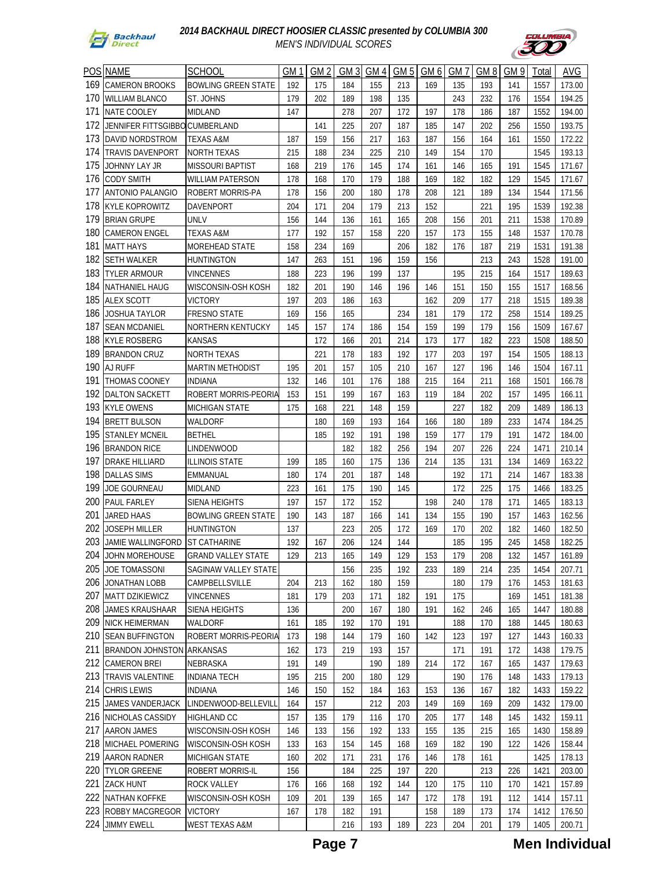



|     | <b>POS NAME</b>                  | <b>SCHOOL</b>              | GM 1 | GM 2 | GM <sub>3</sub> | GM 4       | GM 5       | GM 6       | GM 7 | GM <sub>8</sub> | GM 9       | Total | <b>AVG</b> |
|-----|----------------------------------|----------------------------|------|------|-----------------|------------|------------|------------|------|-----------------|------------|-------|------------|
| 169 | <b>CAMERON BROOKS</b>            | <b>BOWLING GREEN STATE</b> | 192  | 175  | 184             | 155        | 213        | 169        | 135  | 193             | 141        | 1557  | 173.00     |
| 170 | <b>WILLIAM BLANCO</b>            | ST. JOHNS                  | 179  | 202  | 189             | 198        | 135        |            | 243  | 232             | 176        | 1554  | 194.25     |
| 171 | NATE COOLEY                      | MIDLAND                    | 147  |      | 278             | 207        | 172        | 197        | 178  | 186             | 187        | 1552  | 194.00     |
| 172 | JENNIFER FITTSGIBBC              | CUMBERLAND                 |      | 141  | 225             | 207        | 187        | 185        | 147  | 202             | 256        | 1550  | 193.75     |
| 173 | DAVID NORDSTROM                  | TEXAS A&M                  | 187  | 159  | 156             | 217        | 163        | 187        | 156  | 164             | 161        | 1550  | 172.22     |
| 174 | TRAVIS DAVENPORT                 | NORTH TEXAS                | 215  | 188  | 234             | 225        | 210        | 149        | 154  | 170             |            | 1545  | 193.13     |
| 175 | JOHNNY LAY JR                    | <b>MISSOURI BAPTIST</b>    | 168  | 219  | 176             | 145        | 174        | 161        | 146  | 165             | 191        | 1545  | 171.67     |
| 176 | CODY SMITH                       | WILLIAM PATERSON           | 178  | 168  | 170             | 179        | 188        | 169        | 182  | 182             | 129        | 1545  | 171.67     |
| 177 | ANTONIO PALANGIO                 | ROBERT MORRIS-PA           | 178  | 156  | 200             | 180        | 178        | 208        | 121  | 189             | 134        | 1544  | 171.56     |
| 178 | KYLE KOPROWITZ                   | <b>DAVENPORT</b>           | 204  | 171  | 204             | 179        | 213        | 152        |      | 221             | 195        | 1539  | 192.38     |
| 179 | <b>BRIAN GRUPE</b>               | UNLV                       | 156  | 144  | 136             | 161        | 165        | 208        | 156  | 201             | 211        | 1538  | 170.89     |
| 180 | <b>CAMERON ENGEL</b>             | <b>TEXAS A&amp;M</b>       | 177  | 192  | 157             | 158        | 220        | 157        | 173  | 155             | 148        | 1537  | 170.78     |
| 181 | MATT HAYS                        | <b>MOREHEAD STATE</b>      | 158  | 234  | 169             |            | 206        | 182        | 176  | 187             | 219        | 1531  | 191.38     |
| 182 | SETH WALKER                      | <b>HUNTINGTON</b>          | 147  | 263  | 151             | 196        | 159        | 156        |      | 213             | 243        | 1528  | 191.00     |
| 183 | TYLER ARMOUR                     | <b>VINCENNES</b>           | 188  | 223  | 196             | 199        | 137        |            | 195  | 215             | 164        | 1517  | 189.63     |
| 184 | NATHANIEL HAUG                   | WISCONSIN-OSH KOSH         | 182  | 201  | 190             | 146        | 196        | 146        | 151  | 150             | 155        | 1517  | 168.56     |
| 185 | <b>ALEX SCOTT</b>                | <b>VICTORY</b>             | 197  | 203  | 186             | 163        |            | 162        | 209  | 177             | 218        | 1515  | 189.38     |
| 186 | JOSHUA TAYLOR                    | <b>FRESNO STATE</b>        | 169  | 156  | 165             |            | 234        | 181        | 179  | 172             | 258        | 1514  | 189.25     |
| 187 | <b>SEAN MCDANIEL</b>             | NORTHERN KENTUCKY          | 145  | 157  | 174             | 186        | 154        | 159        | 199  | 179             | 156        | 1509  | 167.67     |
| 188 | <b>KYLE ROSBERG</b>              | <b>KANSAS</b>              |      | 172  | 166             | 201        | 214        | 173        | 177  | 182             | 223        | 1508  | 188.50     |
| 189 | <b>BRANDON CRUZ</b>              | <b>NORTH TEXAS</b>         |      | 221  | 178             | 183        | 192        | 177        | 203  | 197             | 154        | 1505  | 188.13     |
| 190 | AJ RUFF                          | <b>MARTIN METHODIST</b>    | 195  | 201  | 157             | 105        | 210        | 167        | 127  | 196             | 146        | 1504  | 167.11     |
| 191 | <b>THOMAS COONEY</b>             | <b>INDIANA</b>             | 132  | 146  | 101             | 176        | 188        | 215        | 164  | 211             | 168        | 1501  | 166.78     |
| 192 | <b>DALTON SACKETT</b>            | ROBERT MORRIS-PEORIA       | 153  | 151  | 199             | 167        | 163        | 119        | 184  | 202             | 157        | 1495  | 166.11     |
| 193 | <b>KYLE OWENS</b>                | MICHIGAN STATE             | 175  | 168  | 221             | 148        | 159        |            | 227  | 182             | 209        | 1489  | 186.13     |
| 194 |                                  |                            |      |      |                 |            |            |            | 180  |                 |            |       |            |
| 195 | <b>BRETT BULSON</b>              | WALDORF                    |      | 180  | 169<br>192      | 193<br>191 | 164<br>198 | 166<br>159 |      | 189<br>179      | 233<br>191 | 1474  | 184.25     |
| 196 | <b>STANLEY MCNEIL</b>            | <b>BETHEL</b>              |      | 185  |                 |            |            |            | 177  |                 |            | 1472  | 184.00     |
|     | <b>BRANDON RICE</b>              | LINDENWOOD                 |      |      | 182             | 182        | 256        | 194        | 207  | 226             | 224        | 1471  | 210.14     |
| 197 | DRAKE HILLIARD                   | ILLINOIS STATE             | 199  | 185  | 160             | 175        | 136        | 214        | 135  | 131             | 134        | 1469  | 163.22     |
| 198 | <b>DALLAS SIMS</b>               | EMMANUAL                   | 180  | 174  | 201             | 187        | 148        |            | 192  | 171             | 214        | 1467  | 183.38     |
| 199 | JOE GOURNEAU                     | MIDLAND                    | 223  | 161  | 175             | 190        | 145        |            | 172  | 225             | 175        | 1466  | 183.25     |
| 200 | <b>PAUL FARLEY</b>               | <b>SIENA HEIGHTS</b>       | 197  | 157  | 172             | 152        |            | 198        | 240  | 178             | 171        | 1465  | 183.13     |
| 201 | <b>JARED HAAS</b>                | <b>BOWLING GREEN STATE</b> | 190  | 143  | 187             | 166        | 141        | 134        | 155  | 190             | 157        | 1463  | 162.56     |
| 202 | JOSEPH MILLER                    | <b>HUNTINGTON</b>          | 137  |      | 223             | 205        | 172        | 169        | 170  | 202             | 182        | 1460  | 182.50     |
| 203 | JAMIE WALLINGFORD                | <b>ST CATHARINE</b>        | 192  | 167  | 206             | 124        | 144        |            | 185  | 195             | 245        | 1458  | 182.25     |
| 204 | JOHN MOREHOUSE                   | <b>GRAND VALLEY STATE</b>  | 129  | 213  | 165             | 149        | 129        | 153        | 179  | 208             | 132        | 1457  | 161.89     |
| 205 | JOE TOMASSONI                    | SAGINAW VALLEY STATE       |      |      | 156             | 235        | 192        | 233        | 189  | 214             | 235        | 1454  | 207.71     |
| 206 | JONATHAN LOBB                    | CAMPBELLSVILLE             | 204  | 213  | 162             | 180        | 159        |            | 180  | 179             | 176        | 1453  | 181.63     |
| 207 | MATT DZIKIEWICZ                  | <b>VINCENNES</b>           | 181  | 179  | 203             | 171        | 182        | 191        | 175  |                 | 169        | 1451  | 181.38     |
| 208 | JAMES KRAUSHAAR                  | SIENA HEIGHTS              | 136  |      | 200             | 167        | 180        | 191        | 162  | 246             | 165        | 1447  | 180.88     |
| 209 | NICK HEIMERMAN                   | WALDORF                    | 161  | 185  | 192             | 170        | 191        |            | 188  | 170             | 188        | 1445  | 180.63     |
| 210 | <b>SEAN BUFFINGTON</b>           | ROBERT MORRIS-PEORIA       | 173  | 198  | 144             | 179        | 160        | 142        | 123  | 197             | 127        | 1443  | 160.33     |
| 211 | <b>BRANDON JOHNSTON ARKANSAS</b> |                            | 162  | 173  | 219             | 193        | 157        |            | 171  | 191             | 172        | 1438  | 179.75     |
| 212 | <b>CAMERON BREI</b>              | NEBRASKA                   | 191  | 149  |                 | 190        | 189        | 214        | 172  | 167             | 165        | 1437  | 179.63     |
| 213 | <b>TRAVIS VALENTINE</b>          | <b>INDIANA TECH</b>        | 195  | 215  | 200             | 180        | 129        |            | 190  | 176             | 148        | 1433  | 179.13     |
| 214 | <b>CHRIS LEWIS</b>               | <b>INDIANA</b>             | 146  | 150  | 152             | 184        | 163        | 153        | 136  | 167             | 182        | 1433  | 159.22     |
| 215 | JAMES VANDERJACK                 | LINDENWOOD-BELLEVILL       | 164  | 157  |                 | 212        | 203        | 149        | 169  | 169             | 209        | 1432  | 179.00     |
| 216 | NICHOLAS CASSIDY                 | HIGHLAND CC                | 157  | 135  | 179             | 116        | 170        | 205        | 177  | 148             | 145        | 1432  | 159.11     |
| 217 | <b>AARON JAMES</b>               | WISCONSIN-OSH KOSH         | 146  | 133  | 156             | 192        | 133        | 155        | 135  | 215             | 165        | 1430  | 158.89     |
| 218 | MICHAEL POMERING                 | WISCONSIN-OSH KOSH         | 133  | 163  | 154             | 145        | 168        | 169        | 182  | 190             | 122        | 1426  | 158.44     |
|     | 219 AARON RADNER                 | MICHIGAN STATE             | 160  | 202  | 171             | 231        | 176        | 146        | 178  | 161             |            | 1425  | 178.13     |
| 220 | <b>TYLOR GREENE</b>              | ROBERT MORRIS-IL           | 156  |      | 184             | 225        | 197        | 220        |      | 213             | 226        | 1421  | 203.00     |
| 221 | <b>ZACK HUNT</b>                 | <b>ROCK VALLEY</b>         | 176  | 166  | 168             | 192        | 144        | 120        | 175  | 110             | 170        | 1421  | 157.89     |
| 222 | NATHAN KOFFKE                    | WISCONSIN-OSH KOSH         | 109  | 201  | 139             | 165        | 147        | 172        | 178  | 191             | 112        | 1414  | 157.11     |
|     | 223 ROBBY MACGREGOR              | <b>VICTORY</b>             | 167  | 178  | 182             | 191        |            | 158        | 189  | 173             | 174        | 1412  | 176.50     |
|     | 224 JIMMY EWELL                  | WEST TEXAS A&M             |      |      | 216             | 193        | 189        | 223        | 204  | 201             | 179        | 1405  | 200.71     |

**Page 7 Men Individual**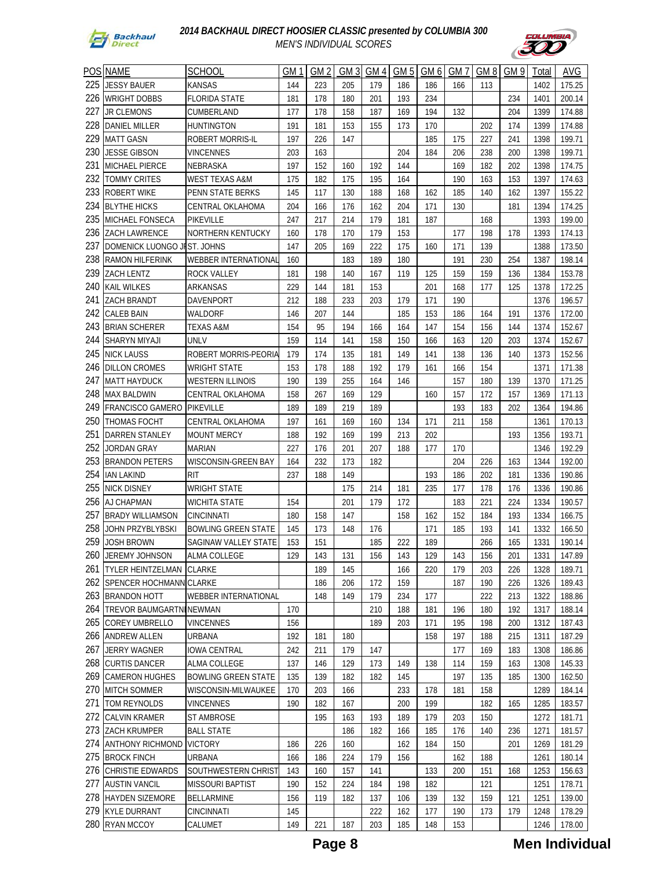



|            | <b>POS NAME</b>                            | <b>SCHOOL</b>                        | GM 1       | GM 2 | GM 3       | GM 4 | GM 5 | GM 6 | GM7        | GM 8       | GM 9 |              | <b>AVG</b>       |
|------------|--------------------------------------------|--------------------------------------|------------|------|------------|------|------|------|------------|------------|------|--------------|------------------|
| 225        |                                            |                                      |            |      |            |      |      |      |            |            |      | Total        |                  |
|            | JESSY BAUER                                | <b>KANSAS</b>                        | 144        | 223  | 205        | 179  | 186  | 186  | 166        | 113        |      | 1402         | 175.25           |
| 226        | <b>WRIGHT DOBBS</b>                        | <b>FLORIDA STATE</b>                 | 181        | 178  | 180        | 201  | 193  | 234  |            |            | 234  | 1401         | 200.14           |
| 227        | JR CLEMONS                                 | CUMBERLAND                           | 177        | 178  | 158        | 187  | 169  | 194  | 132        |            | 204  | 1399         | 174.88           |
| 228        | DANIEL MILLER                              | <b>HUNTINGTON</b>                    | 191        | 181  | 153        | 155  | 173  | 170  |            | 202        | 174  | 1399         | 174.88           |
| 229        | <b>MATT GASN</b>                           | ROBERT MORRIS-IL                     | 197        | 226  | 147        |      |      | 185  | 175        | 227        | 241  | 1398         | 199.71           |
| 230        | JESSE GIBSON                               | VINCENNES                            | 203        | 163  |            |      | 204  | 184  | 206        | 238        | 200  | 1398         | 199.71           |
| 231        | MICHAEL PIERCE                             | NEBRASKA                             | 197        | 152  | 160        | 192  | 144  |      | 169        | 182        | 202  | 1398         | 174.75           |
| 232        | <b>TOMMY CRITES</b>                        | <b>WEST TEXAS A&amp;M</b>            | 175        | 182  | 175        | 195  | 164  |      | 190        | 163        | 153  | 1397         | 174.63           |
| 233        | ROBERT WIKE                                | PENN STATE BERKS                     | 145        | 117  | 130        | 188  | 168  | 162  | 185        | 140        | 162  | 1397         | 155.22           |
| 234        | <b>BLYTHE HICKS</b>                        | <b>CENTRAL OKLAHOMA</b>              | 204        | 166  | 176        | 162  | 204  | 171  | 130        |            | 181  | 1394         | 174.25           |
| 235        | MICHAEL FONSECA                            | PIKEVILLE                            | 247        | 217  | 214        | 179  | 181  | 187  |            | 168        |      | 1393         | 199.00           |
| 236        | ZACH LAWRENCE                              | NORTHERN KENTUCKY                    | 160        | 178  | 170        | 179  | 153  |      | 177        | 198        | 178  | 1393         | 174.13           |
| 237        | DOMENICK LUONGO JEST. JOHNS                |                                      | 147        | 205  | 169        | 222  | 175  | 160  | 171        | 139        |      | 1388         | 173.50           |
| 238        | <b>RAMON HILFERINK</b>                     | <b>WEBBER INTERNATIONAL</b>          | 160        |      | 183        | 189  | 180  |      | 191        | 230        | 254  | 1387         | 198.14           |
| 239        | ZACH LENTZ                                 | <b>ROCK VALLEY</b>                   | 181        | 198  | 140        | 167  | 119  | 125  | 159        | 159        | 136  | 1384         | 153.78           |
| 240        | KAIL WILKES                                | ARKANSAS                             | 229        | 144  | 181        | 153  |      | 201  | 168        | 177        | 125  | 1378         | 172.25           |
| 241        | ZACH BRANDT                                | DAVENPORT                            | 212        | 188  | 233        | 203  | 179  | 171  | 190        |            |      | 1376         | 196.57           |
| 242        | CALEB BAIN                                 | WALDORF                              | 146        | 207  | 144        |      | 185  | 153  | 186        | 164        | 191  | 1376         | 172.00           |
| 243        | <b>BRIAN SCHERER</b>                       | TEXAS A&M                            | 154        | 95   | 194        | 166  | 164  | 147  | 154        | 156        | 144  | 1374         | 152.67           |
| 244        | SHARYN MIYAJI                              | UNLV                                 | 159        | 114  | 141        | 158  | 150  | 166  | 163        | 120        | 203  | 1374         | 152.67           |
| 245        | <b>NICK LAUSS</b>                          | ROBERT MORRIS-PEORIA                 | 179        | 174  | 135        | 181  | 149  | 141  | 138        | 136        | 140  | 1373         | 152.56           |
| 246        | <b>DILLON CROMES</b>                       | <b>WRIGHT STATE</b>                  | 153        | 178  | 188        | 192  | 179  | 161  | 166        | 154        |      | 1371         | 171.38           |
| 247        | <b>MATT HAYDUCK</b>                        | <b>WESTERN ILLINOIS</b>              | 190        | 139  | 255        | 164  | 146  |      | 157        | 180        | 139  | 1370         | 171.25           |
| 248        | <b>MAX BALDWIN</b>                         | CENTRAL OKLAHOMA                     | 158        | 267  | 169        | 129  |      | 160  | 157        | 172        | 157  | 1369         | 171.13           |
| 249        | <b>FRANCISCO GAMERO</b>                    | PIKEVILLE                            | 189        | 189  | 219        | 189  |      |      | 193        | 183        | 202  | 1364         | 194.86           |
| 250        | <b>THOMAS FOCHT</b>                        | CENTRAL OKLAHOMA                     | 197        | 161  | 169        | 160  | 134  | 171  | 211        | 158        |      | 1361         | 170.13           |
| 251        | <b>DARREN STANLEY</b>                      | <b>MOUNT MERCY</b>                   | 188        | 192  | 169        | 199  | 213  | 202  |            |            | 193  | 1356         | 193.71           |
| 252        | JORDAN GRAY                                | <b>MARIAN</b>                        | 227        | 176  | 201        | 207  | 188  | 177  | 170        |            |      | 1346         | 192.29           |
| 253        | <b>BRANDON PETERS</b>                      | WISCONSIN-GREEN BAY                  | 164        | 232  | 173        | 182  |      |      | 204        | 226        | 163  | 1344         | 192.00           |
| 254        | IAN LAKIND                                 | <b>RIT</b>                           | 237        | 188  | 149        |      |      | 193  | 186        | 202        | 181  | 1336         | 190.86           |
| 255        | <b>NICK DISNEY</b>                         | WRIGHT STATE                         |            |      | 175        | 214  | 181  | 235  | 177        | 178        | 176  | 1336         | 190.86           |
| 256        | AJ CHAPMAN                                 | <b>WICHITA STATE</b>                 | 154        |      | 201        | 179  | 172  |      | 183        | 221        | 224  | 1334         | 190.57           |
| 257        | <b>BRADY WILLIAMSON</b>                    | <b>CINCINNATI</b>                    | 180        | 158  | 147        |      | 158  | 162  | 152        | 184        | 193  | 1334         | 166.75           |
| 258        | JOHN PRZYBLYBSKI                           | <b>BOWLING GREEN STATE</b>           | 145        | 173  | 148        | 176  |      | 171  | 185        | 193        | 141  | 1332         | 166.50           |
| 259        | JOSH BROWN                                 | <b>SAGINAW VALLEY STATE</b>          | 153        | 151  |            | 185  | 222  | 189  |            | 266        | 165  | 1331         | 190.14           |
|            | 260 JEREMY JOHNSON                         | ALMA COLLEGE                         | 129        | 143  | 131        | 156  | 143  | 129  | 143        | 156        | 201  | 1331         | 147.89           |
| 261        | <b>TYLER HEINTZELMAN</b>                   | <b>CLARKE</b>                        |            | 189  | 145        |      | 166  | 220  | 179        | 203        | 226  | 1328         | 189.71           |
| 262        | <b>SPENCER HOCHMANN CLARKE</b>             |                                      |            | 186  | 206        | 172  | 159  |      | 187        | 190        | 226  | 1326         | 189.43           |
| 263        | <b>BRANDON HOTT</b>                        | <b>WEBBER INTERNATIONAL</b>          |            | 148  | 149        | 179  | 234  | 177  |            | 222        | 213  | 1322         | 188.86           |
| 264        | TREVOR BAUMGARTNINEWMAN                    |                                      | 170        |      |            | 210  | 188  | 181  | 196        | 180        | 192  | 1317         | 188.14           |
| 265        | COREY UMBRELLO                             | <b>VINCENNES</b>                     | 156        |      |            | 189  | 203  | 171  | 195        | 198        | 200  | 1312         | 187.43           |
| 266        | <b>ANDREW ALLEN</b>                        | URBANA                               | 192        | 181  | 180        |      |      | 158  | 197        | 188        | 215  | 1311         | 187.29           |
| 267<br>268 | JERRY WAGNER                               | <b>IOWA CENTRAL</b><br>ALMA COLLEGE  | 242        | 211  | 179        | 147  |      |      | 177        | 169        | 183  | 1308         | 186.86           |
| 269        | <b>CURTIS DANCER</b>                       |                                      | 137        | 146  | 129        | 173  | 149  | 138  | 114        | 159        | 163  | 1308         | 145.33           |
|            | <b>CAMERON HUGHES</b>                      | <b>BOWLING GREEN STATE</b>           | 135        | 139  | 182        | 182  | 145  |      | 197        | 135        | 185  | 1300         | 162.50           |
| 270<br>271 | <b>MITCH SOMMER</b>                        | WISCONSIN-MILWAUKEE                  | 170        | 203  | 166        |      | 233  | 178  | 181        | 158        |      | 1289         | 184.14           |
|            | TOM REYNOLDS                               | <b>VINCENNES</b>                     | 190        | 182  | 167        |      | 200  | 199  |            | 182        | 165  | 1285         | 183.57           |
| 272<br>273 | CALVIN KRAMER<br><b>ZACH KRUMPER</b>       | ST AMBROSE                           |            | 195  | 163<br>186 | 193  | 189  | 179  | 203        | 150        |      | 1272         | 181.71           |
| 274        |                                            | <b>BALL STATE</b>                    |            |      |            | 182  | 166  | 185  | 176        | 140        | 236  | 1271         | 181.57           |
| 275        | <b>ANTHONY RICHMOND</b>                    | <b>VICTORY</b>                       | 186        | 226  | 160        |      | 162  | 184  | 150        |            | 201  | 1269         | 181.29           |
|            | <b>BROCK FINCH</b><br>276 CHRISTIE EDWARDS | <b>URBANA</b><br>SOUTHWESTERN CHRIST | 166<br>143 | 186  | 224<br>157 | 179  | 156  | 133  | 162<br>200 | 188<br>151 |      | 1261<br>1253 | 180.14<br>156.63 |
| 277        |                                            |                                      |            | 160  |            | 141  |      | 182  |            |            | 168  |              |                  |
| 278        | <b>AUSTIN VANCIL</b>                       | <b>MISSOURI BAPTIST</b>              | 190        | 152  | 224        | 184  | 198  |      |            | 121        |      | 1251         | 178.71           |
|            | <b>HAYDEN SIZEMORE</b><br>279 KYLE DURRANT | <b>BELLARMINE</b>                    | 156        | 119  | 182        | 137  | 106  | 139  | 132        | 159        | 121  | 1251         | 139.00           |
|            | 280 RYAN MCCOY                             | CINCINNATI                           | 145        |      |            | 222  | 162  | 177  | 190        | 173        | 179  | 1248         | 178.29           |
|            |                                            | CALUMET                              | 149        | 221  | 187        | 203  | 185  | 148  | 153        |            |      | 1246         | 178.00           |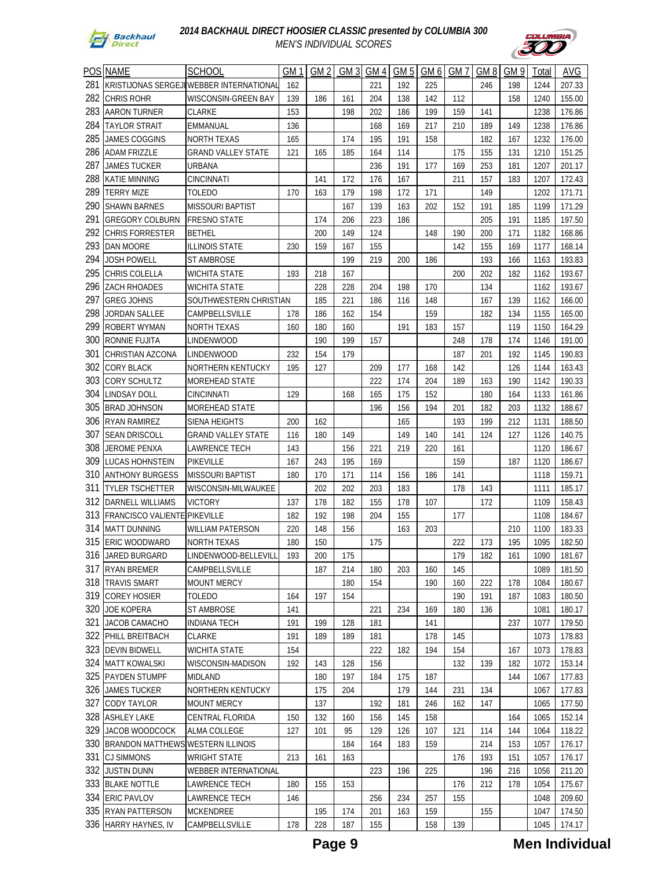



|     | POS NAME                                 | <b>SCHOOL</b>               | GM <sub>1</sub> | GM 2 | GM <sub>3</sub> | GM 4 | GM <sub>5</sub> | GM 6 | GM 7 | GM <sub>8</sub> | GM 9 | Total | AVG    |
|-----|------------------------------------------|-----------------------------|-----------------|------|-----------------|------|-----------------|------|------|-----------------|------|-------|--------|
| 281 | KRISTIJONAS SERGEJI                      | <b>WEBBER INTERNATIONAL</b> | 162             |      |                 | 221  | 192             | 225  |      | 246             | 198  | 1244  | 207.33 |
| 282 | <b>CHRIS ROHR</b>                        | WISCONSIN-GREEN BAY         | 139             | 186  | 161             | 204  | 138             | 142  | 112  |                 | 158  | 1240  | 155.00 |
| 283 |                                          |                             |                 |      |                 |      |                 |      |      |                 |      |       |        |
| 284 | AARON TURNER                             | CLARKE                      | 153             |      | 198             | 202  | 186             | 199  | 159  | 141             |      | 1238  | 176.86 |
| 285 | TAYLOR STRAIT                            | EMMANUAL                    | 136             |      |                 | 168  | 169             | 217  | 210  | 189             | 149  | 1238  | 176.86 |
|     | <b>JAMES COGGINS</b>                     | <b>NORTH TEXAS</b>          | 165             |      | 174             | 195  | 191             | 158  |      | 182             | 167  | 1232  | 176.00 |
| 286 | <b>ADAM FRIZZLE</b>                      | <b>GRAND VALLEY STATE</b>   | 121             | 165  | 185             | 164  | 114             |      | 175  | 155             | 131  | 1210  | 151.25 |
| 287 | JAMES TUCKER                             | URBANA                      |                 |      |                 | 236  | 191             | 177  | 169  | 253             | 181  | 1207  | 201.17 |
| 288 | <b>KATIE MINNING</b>                     | <b>CINCINNATI</b>           |                 | 141  | 172             | 176  | 167             |      | 211  | 157             | 183  | 1207  | 172.43 |
| 289 | <b>TERRY MIZE</b>                        | <b>TOLEDO</b>               | 170             | 163  | 179             | 198  | 172             | 171  |      | 149             |      | 1202  | 171.71 |
| 290 | <b>SHAWN BARNES</b>                      | <b>MISSOURI BAPTIST</b>     |                 |      | 167             | 139  | 163             | 202  | 152  | 191             | 185  | 1199  | 171.29 |
| 291 | <b>GREGORY COLBURN</b>                   | <b>FRESNO STATE</b>         |                 | 174  | 206             | 223  | 186             |      |      | 205             | 191  | 1185  | 197.50 |
| 292 | <b>CHRIS FORRESTER</b>                   | <b>BETHEL</b>               |                 | 200  | 149             | 124  |                 | 148  | 190  | 200             | 171  | 1182  | 168.86 |
| 293 | <b>DAN MOORE</b>                         | <b>ILLINOIS STATE</b>       | 230             | 159  | 167             | 155  |                 |      | 142  | 155             | 169  | 1177  | 168.14 |
| 294 | <b>JOSH POWELL</b>                       | ST AMBROSE                  |                 |      | 199             | 219  | 200             | 186  |      | 193             | 166  | 1163  | 193.83 |
| 295 | CHRIS COLELLA                            | WICHITA STATE               | 193             | 218  | 167             |      |                 |      | 200  | 202             | 182  | 1162  | 193.67 |
| 296 | <b>ZACH RHOADES</b>                      | WICHITA STATE               |                 | 228  | 228             | 204  | 198             | 170  |      | 134             |      | 1162  | 193.67 |
| 297 | <b>GREG JOHNS</b>                        | SOUTHWESTERN CHRISTIAN      |                 | 185  | 221             | 186  | 116             | 148  |      | 167             | 139  | 1162  | 166.00 |
| 298 | JORDAN SALLEE                            | CAMPBELLSVILLE              | 178             | 186  | 162             | 154  |                 | 159  |      | 182             | 134  | 1155  | 165.00 |
| 299 | ROBERT WYMAN                             | <b>NORTH TEXAS</b>          | 160             | 180  | 160             |      | 191             | 183  | 157  |                 | 119  | 1150  | 164.29 |
| 300 | RONNIE FUJITA                            | <b>LINDENWOOD</b>           |                 | 190  | 199             | 157  |                 |      | 248  | 178             | 174  | 1146  | 191.00 |
| 301 | CHRISTIAN AZCONA                         | <b>LINDENWOOD</b>           | 232             | 154  | 179             |      |                 |      | 187  | 201             | 192  | 1145  | 190.83 |
| 302 | <b>CORY BLACK</b>                        | NORTHERN KENTUCKY           | 195             | 127  |                 | 209  | 177             | 168  | 142  |                 | 126  | 1144  | 163.43 |
| 303 | <b>CORY SCHULTZ</b>                      | MOREHEAD STATE              |                 |      |                 | 222  | 174             | 204  | 189  | 163             | 190  | 1142  | 190.33 |
| 304 | LINDSAY DOLL                             | <b>CINCINNATI</b>           | 129             |      | 168             | 165  | 175             | 152  |      | 180             | 164  | 1133  | 161.86 |
| 305 | <b>BRAD JOHNSON</b>                      | MOREHEAD STATE              |                 |      |                 | 196  | 156             | 194  | 201  | 182             | 203  | 1132  | 188.67 |
| 306 | RYAN RAMIREZ                             | SIENA HEIGHTS               | 200             | 162  |                 |      | 165             |      | 193  | 199             | 212  | 1131  | 188.50 |
| 307 | <b>SEAN DRISCOLL</b>                     | <b>GRAND VALLEY STATE</b>   | 116             | 180  | 149             |      | 149             | 140  | 141  | 124             | 127  | 1126  | 140.75 |
| 308 | JEROME PENXA                             | LAWRENCE TECH               | 143             |      | 156             | 221  | 219             | 220  | 161  |                 |      | 1120  | 186.67 |
| 309 | LUCAS HOHNSTEIN                          | PIKEVILLE                   | 167             | 243  | 195             | 169  |                 |      | 159  |                 | 187  | 1120  | 186.67 |
| 310 | <b>ANTHONY BURGESS</b>                   | <b>MISSOURI BAPTIST</b>     | 180             | 170  | 171             | 114  | 156             | 186  | 141  |                 |      | 1118  | 159.71 |
| 311 | <b>TYLER TSCHETTER</b>                   | WISCONSIN-MILWAUKEE         |                 | 202  | 202             | 203  | 183             |      | 178  | 143             |      | 1111  | 185.17 |
| 312 | DARNELL WILLIAMS                         | <b>VICTORY</b>              | 137             | 178  | 182             | 155  | 178             | 107  |      | 172             |      | 1109  | 158.43 |
| 313 | <b>FRANCISCO VALIENTE</b>                | <b>PIKEVILLE</b>            | 182             | 192  | 198             | 204  | 155             |      | 177  |                 |      | 1108  | 184.67 |
| 314 | <b>MATT DUNNING</b>                      | <b>WILLIAM PATERSON</b>     | 220             | 148  | 156             |      | 163             | 203  |      |                 | 210  | 1100  | 183.33 |
| 315 | <b>ERIC WOODWARD</b>                     | <b>NORTH TEXAS</b>          | 180             | 150  |                 | 175  |                 |      | 222  | 173             | 195  | 1095  | 182.50 |
|     | 316 JARED BURGARD                        | LINDENWOOD-BELLEVILL        | 193             | 200  | 175             |      |                 |      | 179  | 182             | 161  | 1090  | 181.67 |
|     | 317 RYAN BREMER                          | CAMPBELLSVILLE              |                 | 187  | 214             | 180  | 203             | 160  | 145  |                 |      | 1089  | 181.50 |
| 318 | <b>TRAVIS SMART</b>                      | MOUNT MERCY                 |                 |      | 180             | 154  |                 | 190  | 160  | 222             | 178  | 1084  | 180.67 |
| 319 | <b>COREY HOSIER</b>                      | <b>TOLEDO</b>               | 164             | 197  | 154             |      |                 |      | 190  | 191             | 187  | 1083  | 180.50 |
| 320 | <b>JOE KOPERA</b>                        | ST AMBROSE                  | 141             |      |                 | 221  | 234             | 169  | 180  | 136             |      | 1081  | 180.17 |
| 321 | JACOB CAMACHO                            | INDIANA TECH                | 191             | 199  | 128             | 181  |                 | 141  |      |                 | 237  | 1077  | 179.50 |
| 322 | PHILL BREITBACH                          | <b>CLARKE</b>               | 191             | 189  | 189             | 181  |                 | 178  | 145  |                 |      | 1073  | 178.83 |
| 323 | <b>DEVIN BIDWELL</b>                     | <b>WICHITA STATE</b>        | 154             |      |                 | 222  | 182             | 194  | 154  |                 | 167  | 1073  | 178.83 |
| 324 | <b>MATT KOWALSKI</b>                     | WISCONSIN-MADISON           | 192             | 143  | 128             | 156  |                 |      | 132  | 139             | 182  | 1072  | 153.14 |
| 325 | PAYDEN STUMPF                            | <b>MIDLAND</b>              |                 | 180  | 197             | 184  | 175             | 187  |      |                 | 144  | 1067  | 177.83 |
| 326 | <b>JAMES TUCKER</b>                      | NORTHERN KENTUCKY           |                 | 175  | 204             |      | 179             | 144  | 231  | 134             |      | 1067  | 177.83 |
| 327 |                                          |                             |                 |      |                 |      |                 |      |      |                 |      |       |        |
|     | <b>CODY TAYLOR</b>                       | <b>MOUNT MERCY</b>          |                 | 137  |                 | 192  | 181             | 246  | 162  | 147             |      | 1065  | 177.50 |
| 328 | <b>ASHLEY LAKE</b>                       | CENTRAL FLORIDA             | 150             | 132  | 160             | 156  | 145             | 158  |      |                 | 164  | 1065  | 152.14 |
| 329 | JACOB WOODCOCK                           | ALMA COLLEGE                | 127             | 101  | 95              | 129  | 126             | 107  | 121  | 114             | 144  | 1064  | 118.22 |
| 330 | <b>BRANDON MATTHEWS WESTERN ILLINOIS</b> |                             |                 |      | 184             | 164  | 183             | 159  |      | 214             | 153  | 1057  | 176.17 |
| 331 | <b>CJ SIMMONS</b>                        | <b>WRIGHT STATE</b>         | 213             | 161  | 163             |      |                 |      | 176  | 193             | 151  | 1057  | 176.17 |
| 332 | <b>JUSTIN DUNN</b>                       | WEBBER INTERNATIONAL        |                 |      |                 | 223  | 196             | 225  |      | 196             | 216  | 1056  | 211.20 |
|     | 333 BLAKE NOTTLE                         | LAWRENCE TECH               | 180             | 155  | 153             |      |                 |      | 176  | 212             | 178  | 1054  | 175.67 |
|     | 334 ERIC PAVLOV                          | LAWRENCE TECH               | 146             |      |                 | 256  | 234             | 257  | 155  |                 |      | 1048  | 209.60 |
|     | 335 RYAN PATTERSON                       | <b>MCKENDREE</b>            |                 | 195  | 174             | 201  | 163             | 159  |      | 155             |      | 1047  | 174.50 |
|     | 336 HARRY HAYNES, IV                     | CAMPBELLSVILLE              | 178             | 228  | 187             | 155  |                 | 158  | 139  |                 |      | 1045  | 174.17 |